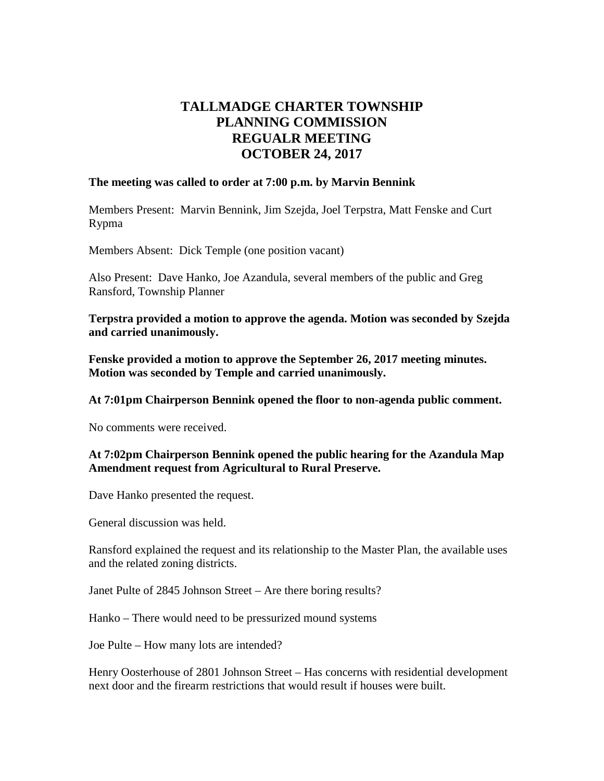# **TALLMADGE CHARTER TOWNSHIP PLANNING COMMISSION REGUALR MEETING OCTOBER 24, 2017**

#### **The meeting was called to order at 7:00 p.m. by Marvin Bennink**

Members Present: Marvin Bennink, Jim Szejda, Joel Terpstra, Matt Fenske and Curt Rypma

Members Absent: Dick Temple (one position vacant)

Also Present: Dave Hanko, Joe Azandula, several members of the public and Greg Ransford, Township Planner

**Terpstra provided a motion to approve the agenda. Motion was seconded by Szejda and carried unanimously.**

**Fenske provided a motion to approve the September 26, 2017 meeting minutes. Motion was seconded by Temple and carried unanimously.**

**At 7:01pm Chairperson Bennink opened the floor to non-agenda public comment.**

No comments were received.

#### **At 7:02pm Chairperson Bennink opened the public hearing for the Azandula Map Amendment request from Agricultural to Rural Preserve.**

Dave Hanko presented the request.

General discussion was held.

Ransford explained the request and its relationship to the Master Plan, the available uses and the related zoning districts.

Janet Pulte of 2845 Johnson Street – Are there boring results?

Hanko – There would need to be pressurized mound systems

Joe Pulte – How many lots are intended?

Henry Oosterhouse of 2801 Johnson Street – Has concerns with residential development next door and the firearm restrictions that would result if houses were built.